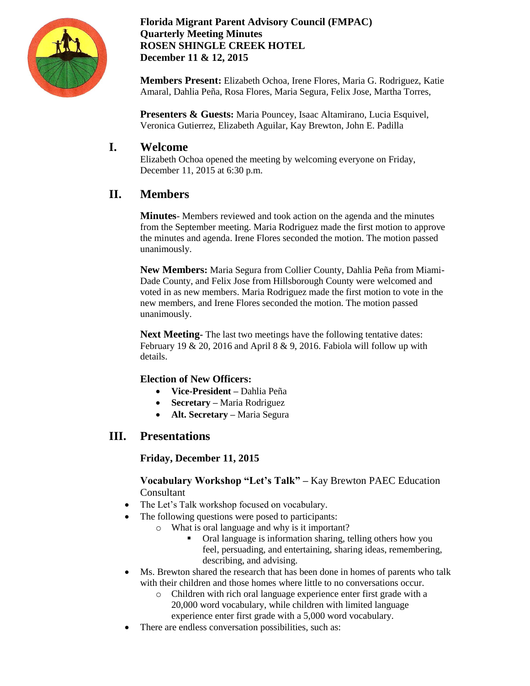

 **Florida Migrant Parent Advisory Council (FMPAC) Quarterly Meeting Minutes ROSEN SHINGLE CREEK HOTEL December 11 & 12, 2015**

**Members Present:** Elizabeth Ochoa, Irene Flores, Maria G. Rodriguez, Katie Amaral, Dahlia Peña, Rosa Flores, Maria Segura, Felix Jose, Martha Torres,

**Presenters & Guests:** Maria Pouncey, Isaac Altamirano, Lucia Esquivel, Veronica Gutierrez, Elizabeth Aguilar, Kay Brewton, John E. Padilla

# **I. Welcome**

Elizabeth Ochoa opened the meeting by welcoming everyone on Friday, December 11, 2015 at 6:30 p.m.

# **II. Members**

**Minutes**- Members reviewed and took action on the agenda and the minutes from the September meeting. Maria Rodriguez made the first motion to approve the minutes and agenda. Irene Flores seconded the motion. The motion passed unanimously.

**New Members:** Maria Segura from Collier County, Dahlia Peña from Miami-Dade County, and Felix Jose from Hillsborough County were welcomed and voted in as new members. Maria Rodriguez made the first motion to vote in the new members, and Irene Flores seconded the motion. The motion passed unanimously.

**Next Meeting** - The last two meetings have the following tentative dates: February 19 & 20, 2016 and April 8 & 9, 2016. Fabiola will follow up with details.

## **Election of New Officers:**

- **Vice-President –** Dahlia Peña
- **Secretary –** Maria Rodriguez
- **Alt. Secretary –** Maria Segura

# **III. Presentations**

## **Friday, December 11, 2015**

**Vocabulary Workshop "Let's Talk" –** Kay Brewton PAEC Education Consultant

- The Let's Talk workshop focused on vocabulary.
- The following questions were posed to participants:
	- o What is oral language and why is it important?
		- Oral language is information sharing, telling others how you feel, persuading, and entertaining, sharing ideas, remembering, describing, and advising.
- Ms. Brewton shared the research that has been done in homes of parents who talk with their children and those homes where little to no conversations occur.
	- o Children with rich oral language experience enter first grade with a 20,000 word vocabulary, while children with limited language experience enter first grade with a 5,000 word vocabulary.
	- There are endless conversation possibilities, such as: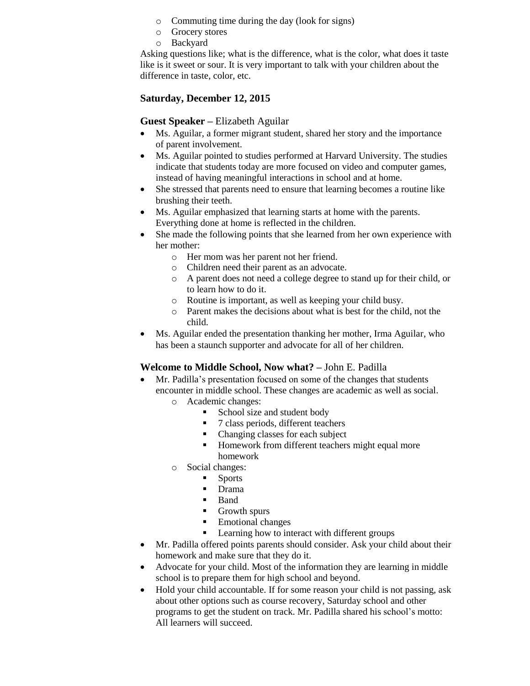- o Commuting time during the day (look for signs)
- o Grocery stores
- o Backyard

Asking questions like; what is the difference, what is the color, what does it taste like is it sweet or sour. It is very important to talk with your children about the difference in taste, color, etc.

## **Saturday, December 12, 2015**

## **Guest Speaker –** Elizabeth Aguilar

- Ms. Aguilar, a former migrant student, shared her story and the importance of parent involvement.
- Ms. Aguilar pointed to studies performed at Harvard University. The studies indicate that students today are more focused on video and computer games, instead of having meaningful interactions in school and at home.
- She stressed that parents need to ensure that learning becomes a routine like brushing their teeth.
- Ms. Aguilar emphasized that learning starts at home with the parents. Everything done at home is reflected in the children.
- She made the following points that she learned from her own experience with her mother:
	- o Her mom was her parent not her friend.
	- o Children need their parent as an advocate.
	- o A parent does not need a college degree to stand up for their child, or to learn how to do it.
	- o Routine is important, as well as keeping your child busy.
	- o Parent makes the decisions about what is best for the child, not the child.
- Ms. Aguilar ended the presentation thanking her mother, Irma Aguilar, who has been a staunch supporter and advocate for all of her children.

## **Welcome to Middle School, Now what? –** John E. Padilla

- Mr. Padilla's presentation focused on some of the changes that students encounter in middle school. These changes are academic as well as social.
	- o Academic changes:
		- School size and student body
		- 7 class periods, different teachers
		- Changing classes for each subject
		- Homework from different teachers might equal more homework
	- o Social changes:
		- **Sports** 
			- Drama
		- **Band**
		- Growth spurs
		- **Emotional changes**
		- **EXECUTE:** Learning how to interact with different groups
- Mr. Padilla offered points parents should consider. Ask your child about their homework and make sure that they do it.
- Advocate for your child. Most of the information they are learning in middle school is to prepare them for high school and beyond.
- Hold your child accountable. If for some reason your child is not passing, ask about other options such as course recovery, Saturday school and other programs to get the student on track. Mr. Padilla shared his school's motto: All learners will succeed.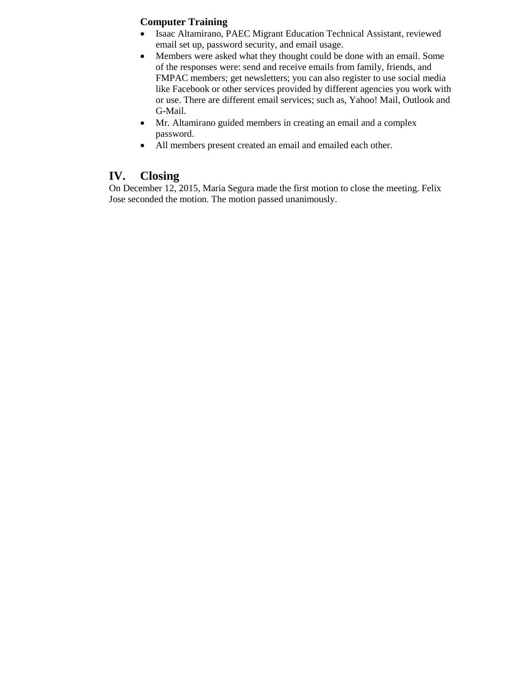## **Computer Training**

- Isaac Altamirano, PAEC Migrant Education Technical Assistant, reviewed email set up, password security, and email usage.
- Members were asked what they thought could be done with an email. Some of the responses were: send and receive emails from family, friends, and FMPAC members; get newsletters; you can also register to use social media like Facebook or other services provided by different agencies you work with or use. There are different email services; such as, Yahoo! Mail, Outlook and G-Mail.
- Mr. Altamirano guided members in creating an email and a complex password.
- All members present created an email and emailed each other.

## **IV. Closing**

On December 12, 2015, Maria Segura made the first motion to close the meeting. Felix Jose seconded the motion. The motion passed unanimously.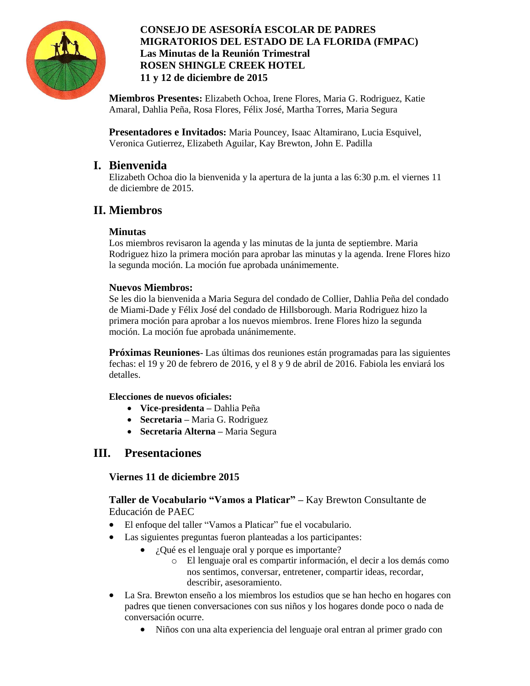

## **CONSEJO DE ASESORÍA ESCOLAR DE PADRES MIGRATORIOS DEL ESTADO DE LA FLORIDA (FMPAC) Las Minutas de la Reunión Trimestral ROSEN SHINGLE CREEK HOTEL 11 y 12 de diciembre de 2015**

**Miembros Presentes:** Elizabeth Ochoa, Irene Flores, Maria G. Rodriguez, Katie Amaral, Dahlia Peña, Rosa Flores, Félix José, Martha Torres, Maria Segura

**Presentadores e Invitados:** Maria Pouncey, Isaac Altamirano, Lucia Esquivel, Veronica Gutierrez, Elizabeth Aguilar, Kay Brewton, John E. Padilla

## **I. Bienvenida**

Elizabeth Ochoa dio la bienvenida y la apertura de la junta a las 6:30 p.m. el viernes 11 de diciembre de 2015.

# **II. Miembros**

## **Minutas**

Los miembros revisaron la agenda y las minutas de la junta de septiembre. Maria Rodriguez hizo la primera moción para aprobar las minutas y la agenda. Irene Flores hizo la segunda moción. La moción fue aprobada unánimemente.

## **Nuevos Miembros:**

Se les dio la bienvenida a Maria Segura del condado de Collier, Dahlia Peña del condado de Miami-Dade y Félix José del condado de Hillsborough. Maria Rodriguez hizo la primera moción para aprobar a los nuevos miembros. Irene Flores hizo la segunda moción. La moción fue aprobada unánimemente.

**Próximas Reuniones**- Las últimas dos reuniones están programadas para las siguientes fechas: el 19 y 20 de febrero de 2016, y el 8 y 9 de abril de 2016. Fabiola les enviará los detalles.

## **Elecciones de nuevos oficiales:**

- **Vice-presidenta –** Dahlia Peña
- **Secretaria –** Maria G. Rodriguez
- **Secretaria Alterna –** Maria Segura

## **III. Presentaciones**

## **Viernes 11 de diciembre 2015**

**Taller de Vocabulario "Vamos a Platicar" –** Kay Brewton Consultante de Educación de PAEC

- El enfoque del taller "Vamos a Platicar" fue el vocabulario.
- Las siguientes preguntas fueron planteadas a los participantes:
	- ¿Qué es el lenguaje oral y porque es importante?
		- o El lenguaje oral es compartir información, el decir a los demás como nos sentimos, conversar, entretener, compartir ideas, recordar, describir, asesoramiento.
- La Sra. Brewton enseño a los miembros los estudios que se han hecho en hogares con padres que tienen conversaciones con sus niños y los hogares donde poco o nada de conversación ocurre.
	- Niños con una alta experiencia del lenguaje oral entran al primer grado con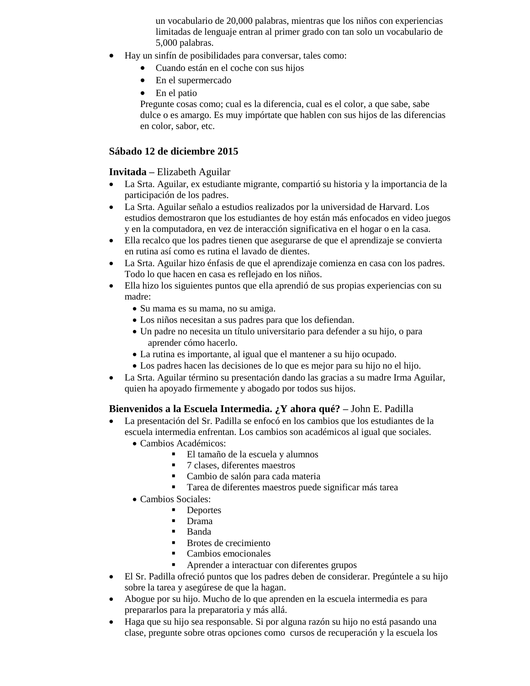un vocabulario de 20,000 palabras, mientras que los niños con experiencias limitadas de lenguaje entran al primer grado con tan solo un vocabulario de 5,000 palabras.

- Hay un sinfín de posibilidades para conversar, tales como:
	- Cuando están en el coche con sus hijos
	- En el supermercado
	- En el patio

Pregunte cosas como; cual es la diferencia, cual es el color, a que sabe, sabe dulce o es amargo. Es muy impórtate que hablen con sus hijos de las diferencias en color, sabor, etc.

#### **Sábado 12 de diciembre 2015**

#### **Invitada –** Elizabeth Aguilar

- La Srta. Aguilar, ex estudiante migrante, compartió su historia y la importancia de la participación de los padres.
- La Srta. Aguilar señalo a estudios realizados por la universidad de Harvard. Los estudios demostraron que los estudiantes de hoy están más enfocados en video juegos y en la computadora, en vez de interacción significativa en el hogar o en la casa.
- Ella recalco que los padres tienen que asegurarse de que el aprendizaje se convierta en rutina así como es rutina el lavado de dientes.
- La Srta. Aguilar hizo énfasis de que el aprendizaje comienza en casa con los padres. Todo lo que hacen en casa es reflejado en los niños.
- Ella hizo los siguientes puntos que ella aprendió de sus propias experiencias con su madre:
	- Su mama es su mama, no su amiga.
	- Los niños necesitan a sus padres para que los defiendan.
	- Un padre no necesita un título universitario para defender a su hijo, o para aprender cómo hacerlo.
	- La rutina es importante, al igual que el mantener a su hijo ocupado.
	- Los padres hacen las decisiones de lo que es mejor para su hijo no el hijo.
- La Srta. Aguilar término su presentación dando las gracias a su madre Irma Aguilar, quien ha apoyado firmemente y abogado por todos sus hijos.

#### **Bienvenidos a la Escuela Intermedia. ¿Y ahora qué? –** John E. Padilla

- La presentación del Sr. Padilla se enfocó en los cambios que los estudiantes de la escuela intermedia enfrentan. Los cambios son académicos al igual que sociales.
	- Cambios Académicos:
		- El tamaño de la escuela y alumnos
			- 7 clases, diferentes maestros
			- Cambio de salón para cada materia
			- Tarea de diferentes maestros puede significar más tarea
	- Cambios Sociales:
		- Deportes
			- Drama
			- Banda
			- Brotes de crecimiento
			- **Cambios emocionales**
			- Aprender a interactuar con diferentes grupos
- El Sr. Padilla ofreció puntos que los padres deben de considerar. Pregúntele a su hijo sobre la tarea y asegúrese de que la hagan.
- Abogue por su hijo. Mucho de lo que aprenden en la escuela intermedia es para prepararlos para la preparatoria y más allá.
- Haga que su hijo sea responsable. Si por alguna razón su hijo no está pasando una clase, pregunte sobre otras opciones como cursos de recuperación y la escuela los